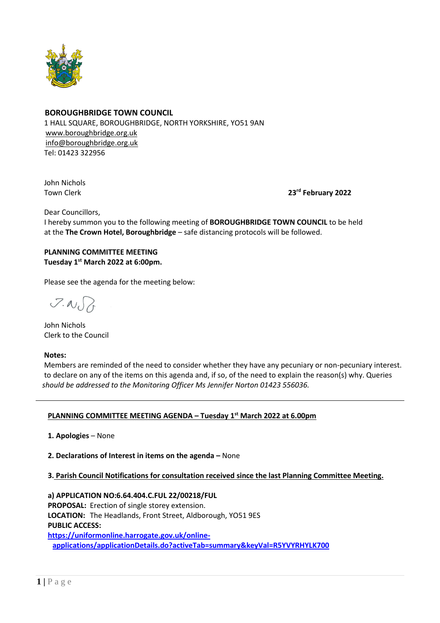

## **BOROUGHBRIDGE TOWN COUNCIL**

 1 HALL SQUARE, BOROUGHBRIDGE, NORTH YORKSHIRE, YO51 9AN [www.boroughbridge.org.uk](http://www.boroughbridge.org.uk/) [info@boroughbridge.org.uk](mailto:info@boroughbridge.org.uk) Tel: 01423 322956

 John Nichols **Town Clerk** 

**rd February 2022**

Dear Councillors,

 I hereby summon you to the following meeting of **BOROUGHBRIDGE TOWN COUNCIL** to be held at the **The Crown Hotel, Boroughbridge** – safe distancing protocols will be followed.

# **PLANNING COMMITTEE MEETING Tuesday 1 st March 2022 at 6:00pm.**

Please see the agenda for the meeting below:

 $7.007$ 

 John Nichols Clerk to the Council

### **Notes:**

 Members are reminded of the need to consider whether they have any pecuniary or non-pecuniary interest. to declare on any of the items on this agenda and, if so, of the need to explain the reason(s) why. Queries  *should be addressed to the Monitoring Officer Ms Jennifer Norton 01423 556036.* 

## **PLANNING COMMITTEE MEETING AGENDA – Tuesday 1 st March 2022 at 6.00pm**

 **1. Apologies** – None

 **2. Declarations of Interest in items on the agenda –** None

## **3. Parish Council Notifications for consultation received since the last Planning Committee Meeting.**

 **a) APPLICATION NO:6.64.404.C.FUL 22/00218/FUL PROPOSAL:** Erection of single storey extension.  **LOCATION:** The Headlands, Front Street, Aldborough, YO51 9ES  **PUBLIC ACCESS: [https://uniformonline.harrogate.gov.uk/online-](https://uniformonline.harrogate.gov.uk/online-applications/applicationDetails.do?activeTab=summary&keyVal=R5YVYRHYLK700)**

**[applications/applicationDetails.do?activeTab=summary&keyVal=R5YVYRHYLK700](https://uniformonline.harrogate.gov.uk/online-applications/applicationDetails.do?activeTab=summary&keyVal=R5YVYRHYLK700)**